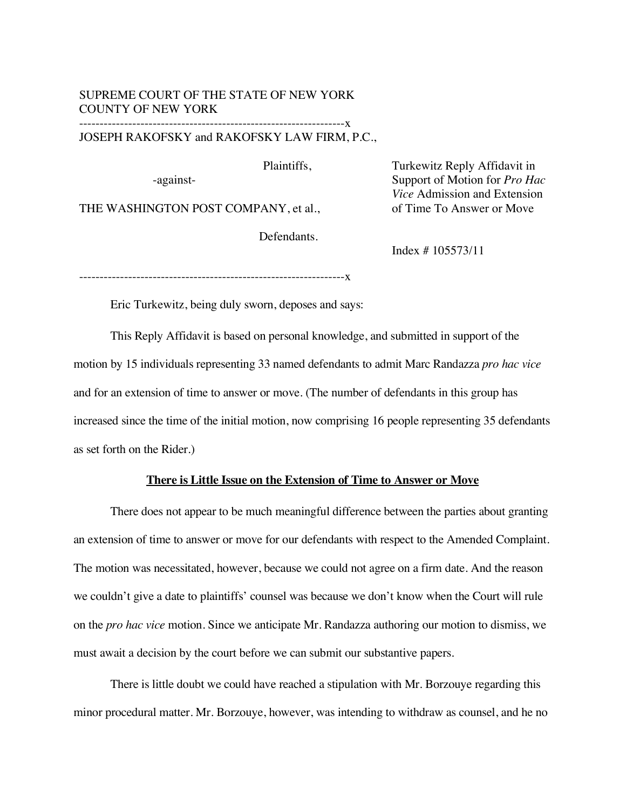### SUPREME COURT OF THE STATE OF NEW YORK COUNTY OF NEW YORK

#### -----------------------------------------------------------------x JOSEPH RAKOFSKY and RAKOFSKY LAW FIRM, P.C.,

Plaintiffs,

-against-

THE WASHINGTON POST COMPANY, et al.,

Defendants.

Turkewitz Reply Affidavit in Support of Motion for *Pro Hac Vice* Admission and Extension of Time To Answer or Move

Index # 105573/11

-----------------------------------------------------------------x

Eric Turkewitz, being duly sworn, deposes and says:

This Reply Affidavit is based on personal knowledge, and submitted in support of the motion by 15 individuals representing 33 named defendants to admit Marc Randazza *pro hac vice* and for an extension of time to answer or move. (The number of defendants in this group has increased since the time of the initial motion, now comprising 16 people representing 35 defendants as set forth on the Rider.)

#### **There is Little Issue on the Extension of Time to Answer or Move**

There does not appear to be much meaningful difference between the parties about granting an extension of time to answer or move for our defendants with respect to the Amended Complaint. The motion was necessitated, however, because we could not agree on a firm date. And the reason we couldn't give a date to plaintiffs' counsel was because we don't know when the Court will rule on the *pro hac vice* motion. Since we anticipate Mr. Randazza authoring our motion to dismiss, we must await a decision by the court before we can submit our substantive papers.

There is little doubt we could have reached a stipulation with Mr. Borzouye regarding this minor procedural matter. Mr. Borzouye, however, was intending to withdraw as counsel, and he no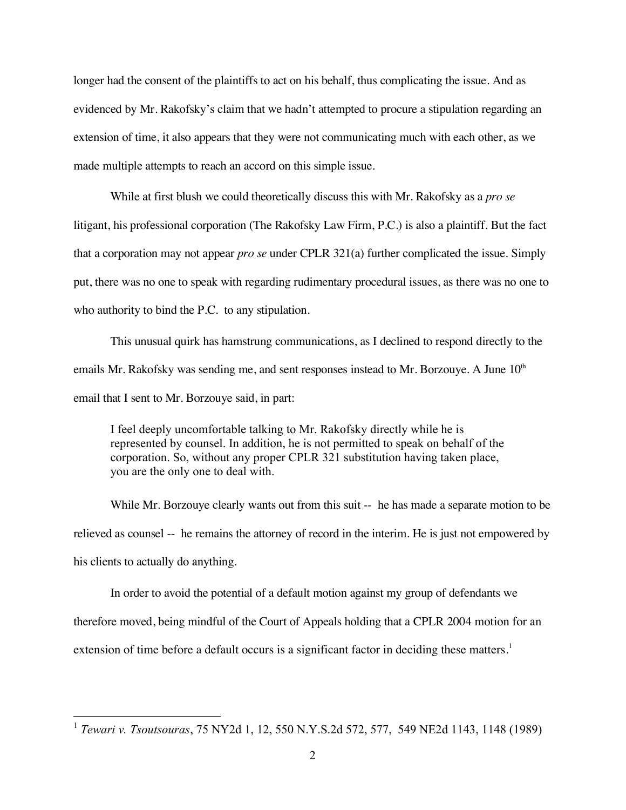longer had the consent of the plaintiffs to act on his behalf, thus complicating the issue. And as evidenced by Mr. Rakofsky's claim that we hadn't attempted to procure a stipulation regarding an extension of time, it also appears that they were not communicating much with each other, as we made multiple attempts to reach an accord on this simple issue.

While at first blush we could theoretically discuss this with Mr. Rakofsky as a *pro se* litigant, his professional corporation (The Rakofsky Law Firm, P.C.) is also a plaintiff. But the fact that a corporation may not appear *pro se* under CPLR 321(a) further complicated the issue. Simply put, there was no one to speak with regarding rudimentary procedural issues, as there was no one to who authority to bind the P.C. to any stipulation.

This unusual quirk has hamstrung communications, as I declined to respond directly to the emails Mr. Rakofsky was sending me, and sent responses instead to Mr. Borzouye. A June  $10<sup>th</sup>$ email that I sent to Mr. Borzouye said, in part:

I feel deeply uncomfortable talking to Mr. Rakofsky directly while he is represented by counsel. In addition, he is not permitted to speak on behalf of the corporation. So, without any proper CPLR 321 substitution having taken place, you are the only one to deal with.

While Mr. Borzouye clearly wants out from this suit -- he has made a separate motion to be relieved as counsel -- he remains the attorney of record in the interim. He is just not empowered by his clients to actually do anything.

In order to avoid the potential of a default motion against my group of defendants we therefore moved, being mindful of the Court of Appeals holding that a CPLR 2004 motion for an extension of time before a default occurs is a significant factor in deciding these matters.<sup>1</sup>

 <sup>1</sup> *Tewari v. Tsoutsouras*, 75 NY2d 1, 12, 550 N.Y.S.2d 572, 577, 549 NE2d 1143, 1148 (1989)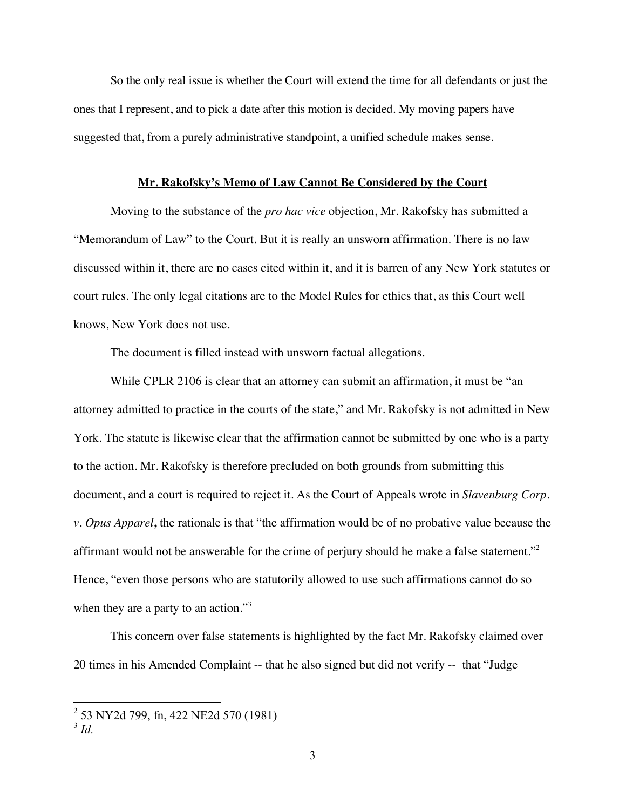So the only real issue is whether the Court will extend the time for all defendants or just the ones that I represent, and to pick a date after this motion is decided. My moving papers have suggested that, from a purely administrative standpoint, a unified schedule makes sense.

#### **Mr. Rakofsky's Memo of Law Cannot Be Considered by the Court**

Moving to the substance of the *pro hac vice* objection, Mr. Rakofsky has submitted a "Memorandum of Law" to the Court. But it is really an unsworn affirmation. There is no law discussed within it, there are no cases cited within it, and it is barren of any New York statutes or court rules. The only legal citations are to the Model Rules for ethics that, as this Court well knows, New York does not use.

The document is filled instead with unsworn factual allegations.

While CPLR 2106 is clear that an attorney can submit an affirmation, it must be "an attorney admitted to practice in the courts of the state," and Mr. Rakofsky is not admitted in New York. The statute is likewise clear that the affirmation cannot be submitted by one who is a party to the action. Mr. Rakofsky is therefore precluded on both grounds from submitting this document, and a court is required to reject it. As the Court of Appeals wrote in *Slavenburg Corp. v. Opus Apparel***,** the rationale is that "the affirmation would be of no probative value because the affirmant would not be answerable for the crime of perjury should he make a false statement."<sup>2</sup> Hence, "even those persons who are statutorily allowed to use such affirmations cannot do so when they are a party to an action."<sup>3</sup>

This concern over false statements is highlighted by the fact Mr. Rakofsky claimed over 20 times in his Amended Complaint -- that he also signed but did not verify -- that "Judge

 <sup>2</sup> 53 NY2d 799, fn, 422 NE2d 570 (1981)

<sup>3</sup> *Id.*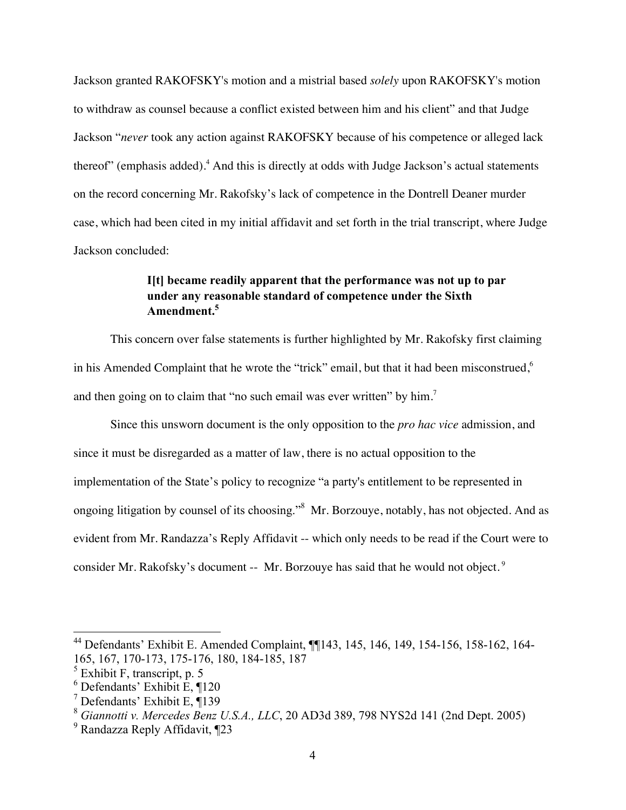Jackson granted RAKOFSKY's motion and a mistrial based *solely* upon RAKOFSKY's motion to withdraw as counsel because a conflict existed between him and his client" and that Judge Jackson "*never* took any action against RAKOFSKY because of his competence or alleged lack thereof" (emphasis added).<sup>4</sup> And this is directly at odds with Judge Jackson's actual statements on the record concerning Mr. Rakofsky's lack of competence in the Dontrell Deaner murder case, which had been cited in my initial affidavit and set forth in the trial transcript, where Judge Jackson concluded:

## **I[t] became readily apparent that the performance was not up to par under any reasonable standard of competence under the Sixth Amendment.5**

This concern over false statements is further highlighted by Mr. Rakofsky first claiming in his Amended Complaint that he wrote the "trick" email, but that it had been misconstrued,<sup>6</sup> and then going on to claim that "no such email was ever written" by him.<sup>7</sup>

Since this unsworn document is the only opposition to the *pro hac vice* admission, and since it must be disregarded as a matter of law, there is no actual opposition to the implementation of the State's policy to recognize "a party's entitlement to be represented in ongoing litigation by counsel of its choosing."8 Mr. Borzouye, notably, has not objected. And as evident from Mr. Randazza's Reply Affidavit -- which only needs to be read if the Court were to consider Mr. Rakofsky's document -- Mr. Borzouye has said that he would not object.<sup>9</sup>

 <sup>44</sup> Defendants' Exhibit E. Amended Complaint, ¶¶143, 145, 146, 149, 154-156, 158-162, 164- 165, 167, 170-173, 175-176, 180, 184-185, 187

 $<sup>5</sup>$  Exhibit F, transcript, p. 5</sup>

<sup>6</sup> Defendants' Exhibit E, ¶120

<sup>7</sup> Defendants' Exhibit E, ¶139

<sup>8</sup> *Giannotti v. Mercedes Benz U.S.A., LLC*, 20 AD3d 389, 798 NYS2d 141 (2nd Dept. 2005)

<sup>&</sup>lt;sup>9</sup> Randazza Reply Affidavit, ¶23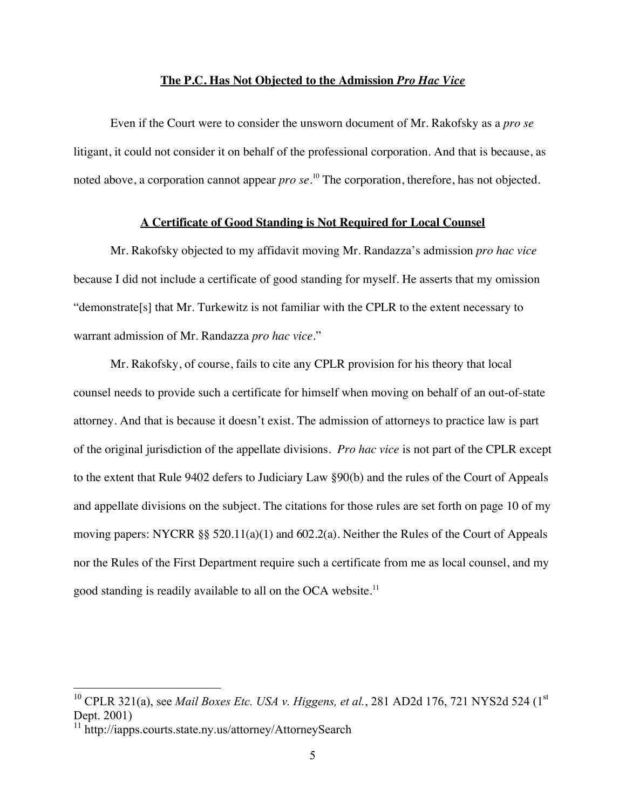#### **The P.C. Has Not Objected to the Admission** *Pro Hac Vice*

Even if the Court were to consider the unsworn document of Mr. Rakofsky as a *pro se* litigant, it could not consider it on behalf of the professional corporation. And that is because, as noted above, a corporation cannot appear *pro se*. 10 The corporation, therefore, has not objected.

#### **A Certificate of Good Standing is Not Required for Local Counsel**

Mr. Rakofsky objected to my affidavit moving Mr. Randazza's admission *pro hac vice* because I did not include a certificate of good standing for myself. He asserts that my omission "demonstrate[s] that Mr. Turkewitz is not familiar with the CPLR to the extent necessary to warrant admission of Mr. Randazza *pro hac vice*."

Mr. Rakofsky, of course, fails to cite any CPLR provision for his theory that local counsel needs to provide such a certificate for himself when moving on behalf of an out-of-state attorney. And that is because it doesn't exist. The admission of attorneys to practice law is part of the original jurisdiction of the appellate divisions. *Pro hac vice* is not part of the CPLR except to the extent that Rule 9402 defers to Judiciary Law §90(b) and the rules of the Court of Appeals and appellate divisions on the subject. The citations for those rules are set forth on page 10 of my moving papers: NYCRR §§ 520.11(a)(1) and 602.2(a). Neither the Rules of the Court of Appeals nor the Rules of the First Department require such a certificate from me as local counsel, and my good standing is readily available to all on the OCA website.<sup>11</sup>

<sup>&</sup>lt;sup>10</sup> CPLR 321(a), see *Mail Boxes Etc. USA v. Higgens, et al.*, 281 AD2d 176, 721 NYS2d 524 (1<sup>st</sup>) Dept. 2001)

<sup>&</sup>lt;sup>11</sup> http://iapps.courts.state.ny.us/attorney/AttorneySearch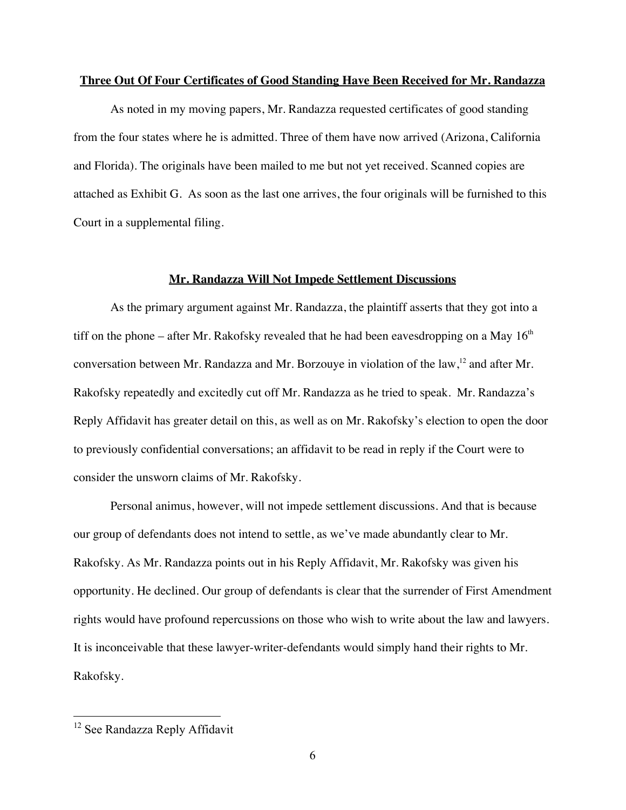#### **Three Out Of Four Certificates of Good Standing Have Been Received for Mr. Randazza**

As noted in my moving papers, Mr. Randazza requested certificates of good standing from the four states where he is admitted. Three of them have now arrived (Arizona, California and Florida). The originals have been mailed to me but not yet received. Scanned copies are attached as Exhibit G. As soon as the last one arrives, the four originals will be furnished to this Court in a supplemental filing.

#### **Mr. Randazza Will Not Impede Settlement Discussions**

As the primary argument against Mr. Randazza, the plaintiff asserts that they got into a tiff on the phone – after Mr. Rakofsky revealed that he had been eavesdropping on a May  $16<sup>th</sup>$ conversation between Mr. Randazza and Mr. Borzouye in violation of the law,  $12$  and after Mr. Rakofsky repeatedly and excitedly cut off Mr. Randazza as he tried to speak. Mr. Randazza's Reply Affidavit has greater detail on this, as well as on Mr. Rakofsky's election to open the door to previously confidential conversations; an affidavit to be read in reply if the Court were to consider the unsworn claims of Mr. Rakofsky.

Personal animus, however, will not impede settlement discussions. And that is because our group of defendants does not intend to settle, as we've made abundantly clear to Mr. Rakofsky. As Mr. Randazza points out in his Reply Affidavit, Mr. Rakofsky was given his opportunity. He declined. Our group of defendants is clear that the surrender of First Amendment rights would have profound repercussions on those who wish to write about the law and lawyers. It is inconceivable that these lawyer-writer-defendants would simply hand their rights to Mr. Rakofsky.

<sup>&</sup>lt;sup>12</sup> See Randazza Reply Affidavit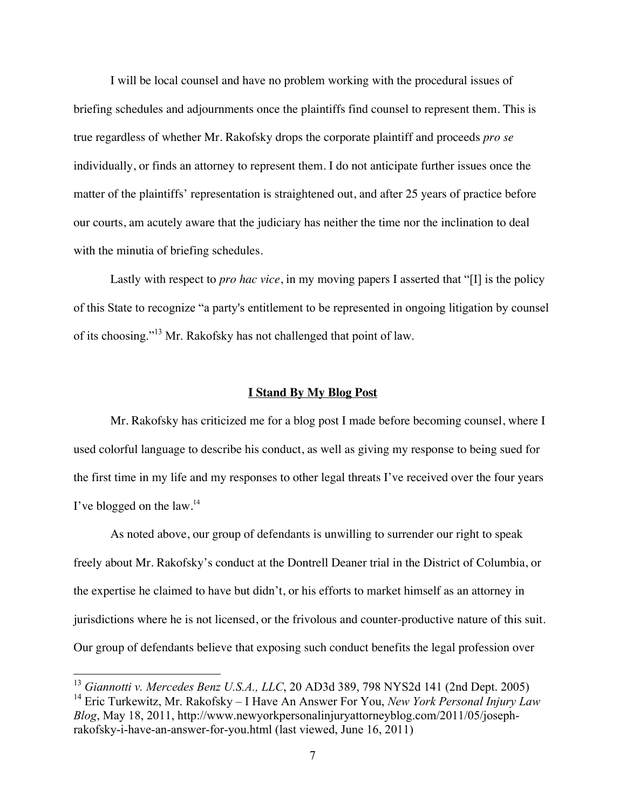I will be local counsel and have no problem working with the procedural issues of briefing schedules and adjournments once the plaintiffs find counsel to represent them. This is true regardless of whether Mr. Rakofsky drops the corporate plaintiff and proceeds *pro se* individually, or finds an attorney to represent them. I do not anticipate further issues once the matter of the plaintiffs' representation is straightened out, and after 25 years of practice before our courts, am acutely aware that the judiciary has neither the time nor the inclination to deal with the minutia of briefing schedules.

Lastly with respect to *pro hac vice*, in my moving papers I asserted that "[I] is the policy of this State to recognize "a party's entitlement to be represented in ongoing litigation by counsel of its choosing."<sup>13</sup> Mr. Rakofsky has not challenged that point of law.

#### **I Stand By My Blog Post**

Mr. Rakofsky has criticized me for a blog post I made before becoming counsel, where I used colorful language to describe his conduct, as well as giving my response to being sued for the first time in my life and my responses to other legal threats I've received over the four years I've blogged on the law. $^{14}$ 

As noted above, our group of defendants is unwilling to surrender our right to speak freely about Mr. Rakofsky's conduct at the Dontrell Deaner trial in the District of Columbia, or the expertise he claimed to have but didn't, or his efforts to market himself as an attorney in jurisdictions where he is not licensed, or the frivolous and counter-productive nature of this suit. Our group of defendants believe that exposing such conduct benefits the legal profession over

 <sup>13</sup> *Giannotti v. Mercedes Benz U.S.A., LLC*, 20 AD3d 389, 798 NYS2d 141 (2nd Dept. 2005) 14 Eric Turkewitz, Mr. Rakofsky – I Have An Answer For You, *New York Personal Injury Law Blog*, May 18, 2011, http://www.newyorkpersonalinjuryattorneyblog.com/2011/05/josephrakofsky-i-have-an-answer-for-you.html (last viewed, June 16, 2011)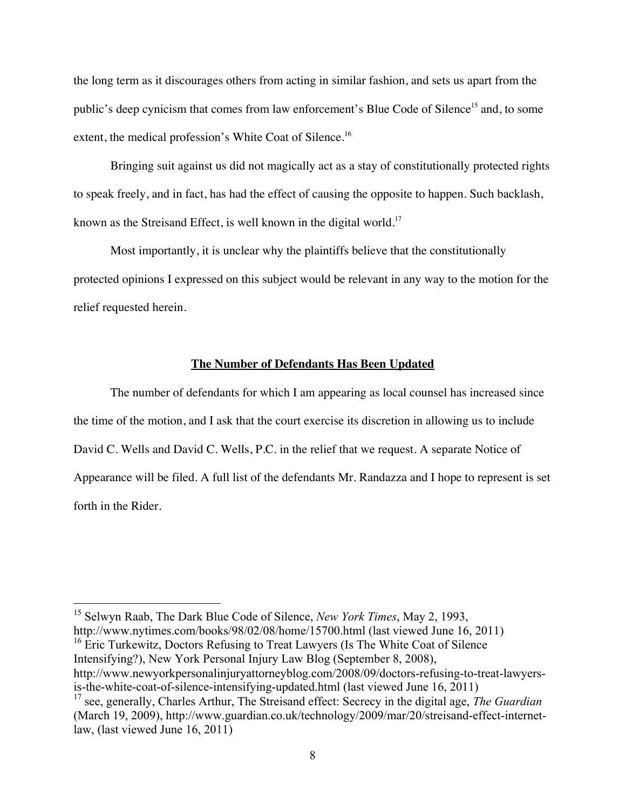the long term as it discourages others from acting in similar fashion, and sets us apart from the public's deep cynicism that comes from law enforcement's Blue Code of Silence<sup>15</sup> and, to some extent, the medical profession's White Coat of Silence.<sup>16</sup>

Bringing suit against us did not magically act as a stay of constitutionally protected rights to speak freely, and in fact, has had the effect of causing the opposite to happen. Such backlash, known as the Streisand Effect, is well known in the digital world.<sup>17</sup>

Most importantly, it is unclear why the plaintiffs believe that the constitutionally protected opinions I expressed on this subject would be relevant in any way to the motion for the relief requested herein.

#### **The Number of Defendants Has Been Updated**

The number of defendants for which I am appearing as local counsel has increased since the time of the motion, and I ask that the court exercise its discretion in allowing us to include David C. Wells and David C. Wells, P.C. in the relief that we request. A separate Notice of Appearance will be filed. A full list of the defendants Mr. Randazza and I hope to represent is set forth in the Rider.

 15 Selwyn Raab, The Dark Blue Code of Silence, *New York Times*, May 2, 1993, http://www.nytimes.com/books/98/02/08/home/15700.html (last viewed June 16, 2011) <sup>16</sup> Eric Turkewitz, Doctors Refusing to Treat Lawyers (Is The White Coat of Silence Intensifying?), New York Personal Injury Law Blog (September 8, 2008), http://www.newyorkpersonalinjuryattorneyblog.com/2008/09/doctors-refusing-to-treat-lawyersis-the-white-coat-of-silence-intensifying-updated.html (last viewed June 16, 2011)

<sup>17</sup> see, generally, Charles Arthur, The Streisand effect: Secrecy in the digital age, *The Guardian* (March 19, 2009), http://www.guardian.co.uk/technology/2009/mar/20/streisand-effect-internetlaw, (last viewed June 16, 2011)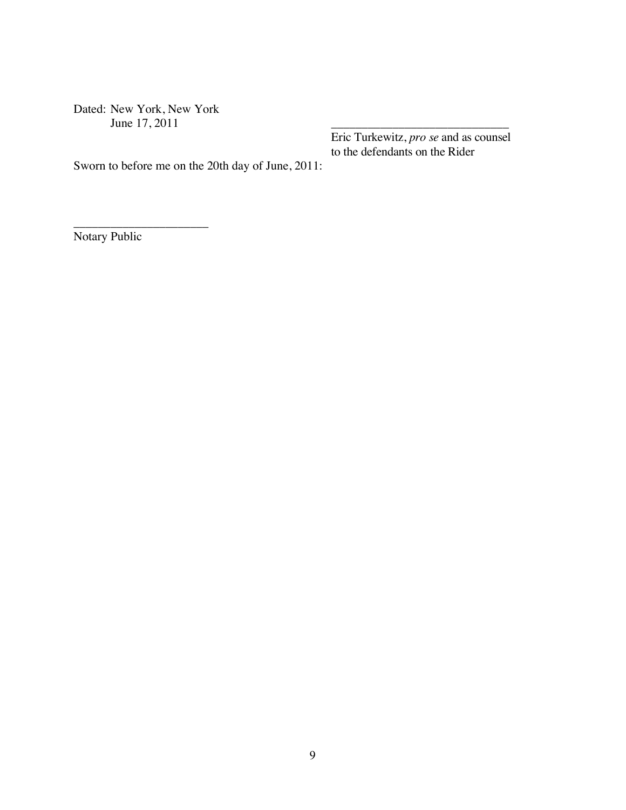Dated: New York, New York June 17, 2011

\_\_\_\_\_\_\_\_\_\_\_\_\_\_\_\_\_\_\_\_\_\_

Eric Turkewitz, *pro se* and as counsel to the defendants on the Rider

Sworn to before me on the 20th day of June, 2011:

Notary Public